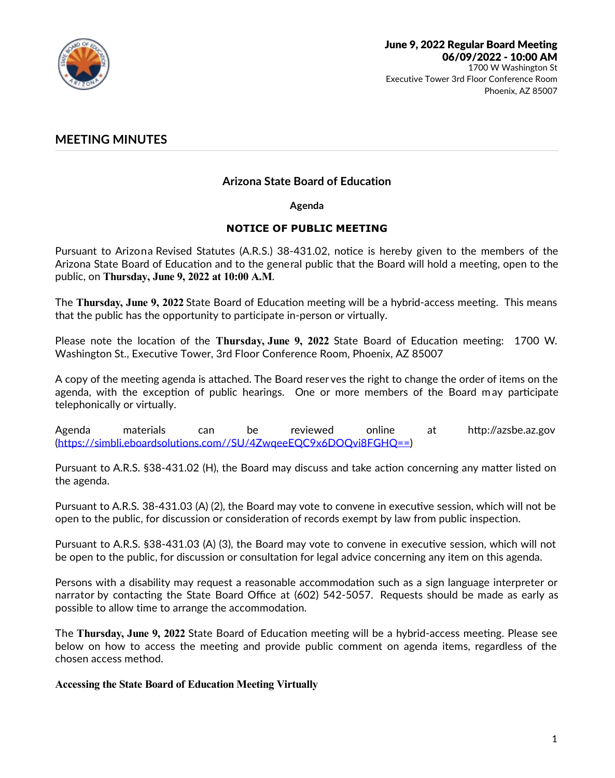

# **MEETING MINUTES**

# **Arizona State Board of Education**

**Agenda**

### **NOTICE OF PUBLIC MEETING**

Pursuant to Arizona Revised Statutes (A.R.S.) 38-431.02, notice is hereby given to the members of the Arizona State Board of Education and to the general public that the Board will hold a meeting, open to the public, on **Thursday, June 9, 2022 at 10:00 A.M**.

The **Thursday, June 9, 2022** State Board of Education meeting will be a hybrid-access meeting. This means that the public has the opportunity to participate in-person or virtually.

Please note the location of the T**hursday, June 9, 2022** State Board of Education meeting: 1700 W.<br>Washington St., Executive Tower, 3rd Floor Conference Room, Phoenix, AZ 85007

A copy of the meeting agenda is attached. The Board reser ves the right to change the order of items on the agenda, with the exception of public hearings. One or more members of the Board may participate telephonically or virtually.

Agenda materials can be reviewed online at http://azsbe.az.gov (https://simbli.eboardsolutions.com//SU/4ZwqeeEQC9x6DOQvi8FGHQ==)

Pursuant to A.R.S. §38-431.02 (H), the Board may discuss and take action concerning any matter listed on the agenda.

Pursuant to A.R.S. 38-431.03 (A) (2), the Board may vote to convene in executive session, which will not be open to the public, for discussion or consideration of records exempt by law from public inspection.

Pursuant to A.R.S. §38-431.03 (A) (3), the Board may vote to convene in executive session, which will not be open to the public, for discussion or consultation for legal advice concerning any item on this agenda.

Persons with a disability may request a reasonable accommodation such as a sign language interpreter or narrator by contacting the State Board Office at (602) 542-5057. Requests should be made as early as possible to allow time to arrange the accommodation.

The **Thursday, June 9, 2022** State Board of Education meeting will be a hybrid-access meeting. Please see below on how to access the meeting and provide public comment on agenda items, regardless of the chosen access method.

**Accessing the State Board of Education Meeting Virtually**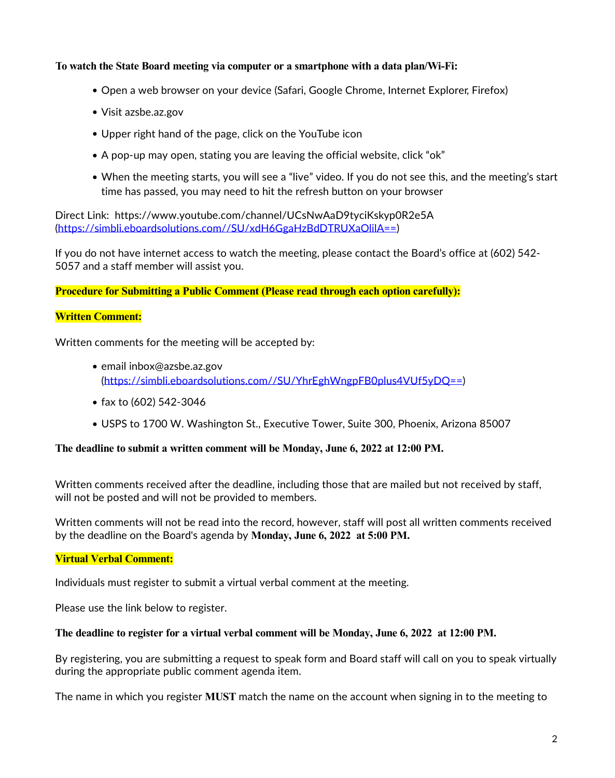### **To watch the State Board meeting via computer or a smartphone with a data plan/Wi-Fi:**

- Open a web browser on your device (Safari, Google Chrome, Internet Explorer, Firefox)
- Visit azsbe.az.gov
- Upper right hand of the page, click on the YouTube icon
- A pop-up may open, stating you are leaving the official website, click "ok"
- When the meeting starts, you will see a "live" video. If you do not see this, and the meeting's start time has passed, you may need to hit the refresh button on your browser

Direct Link: https://www.youtube.com/channel/UCsNwAaD9tyciKskyp0R2e5A (https://simbli.eboardsolutions.com//SU/xdH6GgaHzBdDTRUXaOlilA==)

If you do not have internet access to watch the meeting, please contact the Board's office at (602) 542-<br>5057 and a staff member will assist you.

**Procedure for Submitting a Public Comment (Please read through each option carefully):**

### **Written Comment:**

Written comments for the meeting will be accepted by:

- email inbox@azsbe.az.gov (https://simbli.eboardsolutions.com//SU/YhrEghWngpFB0plus4VUf5yDQ==)
- fax to (602) 542-3046
- USPS to 1700 W. Washington St., Executive Tower, Suite 300, Phoenix, Arizona 85007

### **The deadline to submit a written comment will be Monday, June 6, 2022 at 12:00 PM.**

Written comments received after the deadline, including those that are mailed but not received by staff, will not be posted and will not be provided to members.

Written comments will not be read into the record, however, staff will post all written comments received by the deadline on the Board's agenda by **Monday, June 6, 2022 at 5:00 PM.**

### **Virtual Verbal Comment:**

Individuals must register to submit a virtual verbal comment at the meeting.

Please use the link below to register.

#### **The deadline to register for a virtual verbal comment will be Monday, June 6, 2022 at 12:00 PM.**

By registering, you are submitting a request to speak form and Board staff will call on you to speak virtually during the appropriate public comment agenda item.

The name in which you register **MUST** match the name on the account when signing in to the meeting to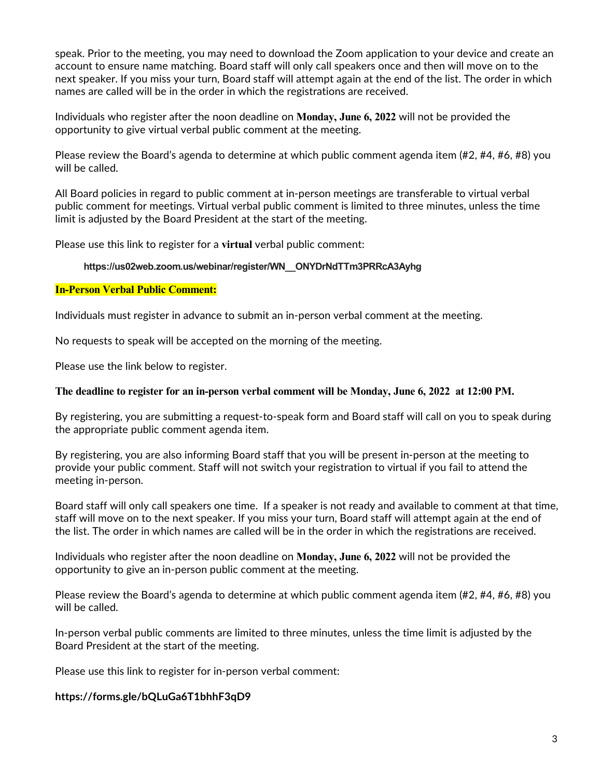speak. Prior to the meeting, you may need to download the Zoom application to your device and create an account to ensure name matching. Board staff will only call speakers once and then will move on to the next speaker. If you miss your turn, Board staff will attempt again at the end of the list. The order in which names are called will be in the order in which the registrations are received.

Individuals who register after the noon deadline on **Monday, June 6, 2022** will not be provided the opportunity to give virtual verbal public comment at the meeting.

Please review the Board's agenda to determine at which public comment agenda item (#2, #4, #6, #8) you will be called.

All Board policies in regard to public comment at in-person meetings are transferable to virtual verbal public comment for meetings. Virtual verbal public comment is limited to three minutes, unless the time limit is adjusted by the Board President at the start of the meeting.

Please use this link to register for a **virtual** verbal public comment:

#### **https://us02web.zoom.us/webinar/register/WN\_\_ONYDrNdTTm3PRRcA3Ayhg**

#### **In-Person Verbal Public Comment:**

Individuals must register in advance to submit an in-person verbal comment at the meeting.

No requests to speak will be accepted on the morning of the meeting.

Please use the link below to register.

#### **The deadline to register for an in-person verbal comment will be Monday, June 6, 2022 at 12:00 PM.**

By registering, you are submitting a request-to-speak form and Board staff will call on you to speak during the appropriate public comment agenda item.

By registering, you are also informing Board staff that you will be present in-person at the meeting to provide your public comment. Staff will not switch your registration to virtual if you fail to attend the meeting in-person.

Board staff will only call speakers one time. If a speaker is not ready and available to comment at that time, staff will move on to the next speaker. If you miss your turn, Board staff will attempt again at the end of the list. The order in which names are called will be in the order in which the registrations are received.

Individuals who register after the noon deadline on **Monday, June 6, 2022** will not be provided the opportunity to give an in-person public comment at the meeting.

Please review the Board's agenda to determine at which public comment agenda item (#2, #4, #6, #8) you will be called.

In-person verbal public comments are limited to three minutes, unless the time limit is adjusted by the Board President at the start of the meeting.

Please use this link to register for in-person verbal comment:

### **https://forms.gle/bQLuGa6T1bhhF3qD9**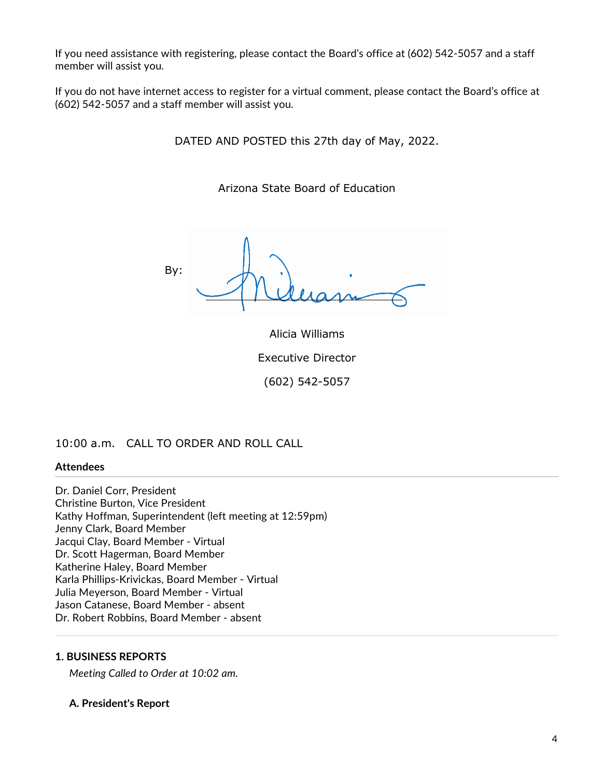If you need assistance with registering, please contact the Board's office at (602) 542-5057 and a staff member will assist you.

If you do not have internet access to register for a virtual comment, please contact the Board's office at (602) 542-5057 and a staff member will assist you.

DATED AND POSTED this 27th day of May, 2022.

Arizona State Board of Education

By:

Alicia Williams Executive Director (602) 542-5057

## 10:00 a.m. CALL TO ORDER AND ROLL CALL

### **Attendees**

Dr. Daniel Corr, President Christine Burton, Vice President Kathy Hoffman, Superintendent (left meeting at 12:59pm) Jenny Clark, Board Member Jacqui Clay, Board Member - Virtual Dr. Scott Hagerman, Board Member Katherine Haley, Board Member Karla Phillips-Krivickas, Board Member - Virtual Julia Meyerson, Board Member - Virtual Jason Catanese, Board Member - absent Dr. Robert Robbins, Board Member - absent

## **1. BUSINESS REPORTS**

*Meeting Called to Order at 10:02 am.*

### **A. President's Report**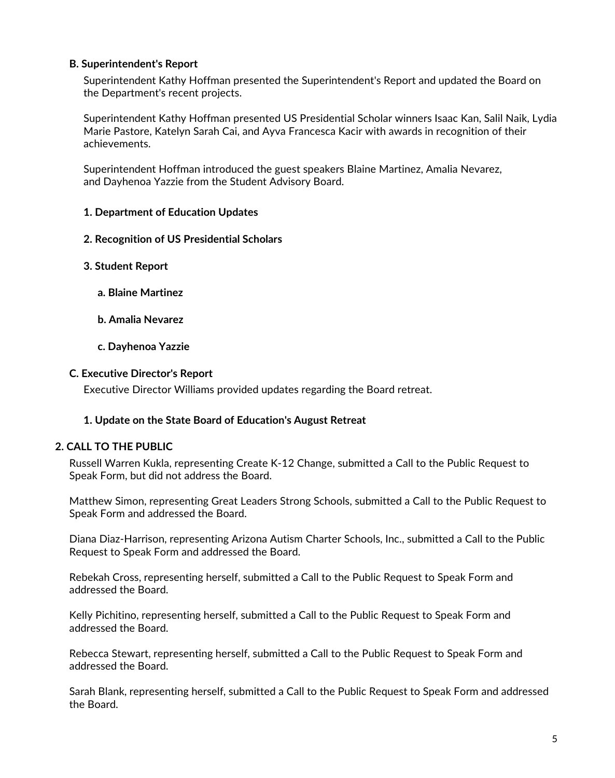## **B. Superintendent's Report**

Superintendent Kathy Hoffman presented the Superintendent's Report and updated the Board on the Department's recent projects.

Superintendent Kathy Hoffman presented US Presidential Scholar winners Isaac Kan, Salil Naik, Lydia Marie Pastore, Katelyn Sarah Cai, and Ayva Francesca Kacir with awards in recognition of their achievements.

Superintendent Hoffman introduced the guest speakers Blaine Martinez, Amalia Nevarez, and Dayhenoa Yazzie from the Student Advisory Board.

### **1. Department of Education Updates**

- **2. Recognition of US Presidential Scholars**
- **3. Student Report**
	- **a. Blaine Martinez**
	- **b. Amalia Nevarez**
	- **c. Dayhenoa Yazzie**

#### **C. Executive Director's Report**

Executive Director Williams provided updates regarding the Board retreat.

### **1. Update on the State Board of Education's August Retreat**

### **2. CALL TO THE PUBLIC**

Russell Warren Kukla, representing Create K-12 Change, submitted a Call to the Public Request to Speak Form, but did not address the Board.

Matthew Simon, representing Great Leaders Strong Schools, submitted a Call to the Public Request to Speak Form and addressed the Board.

Diana Diaz-Harrison, representing Arizona Autism Charter Schools, Inc., submitted a Call to the Public Request to Speak Form and addressed the Board.

Rebekah Cross, representing herself, submitted a Call to the Public Request to Speak Form and addressed the Board.

Kelly Pichitino, representing herself, submitted a Call to the Public Request to Speak Form and addressed the Board.

Rebecca Stewart, representing herself, submitted a Call to the Public Request to Speak Form and addressed the Board.

Sarah Blank, representing herself, submitted a Call to the Public Request to Speak Form and addressed the Board.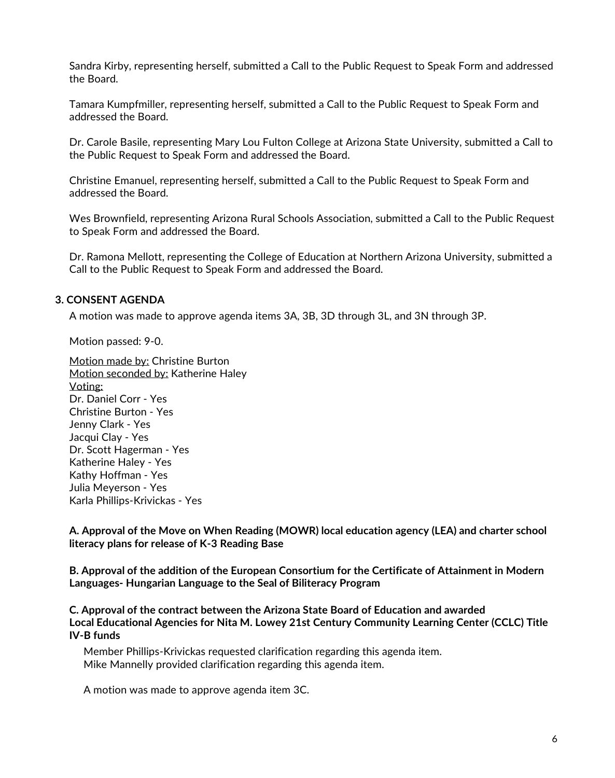Sandra Kirby, representing herself, submitted a Call to the Public Request to Speak Form and addressed the Board.

Tamara Kumpfmiller, representing herself, submitted a Call to the Public Request to Speak Form and addressed the Board.

Dr. Carole Basile, representing Mary Lou Fulton College at Arizona State University, submitted a Call to the Public Request to Speak Form and addressed the Board.

Christine Emanuel, representing herself, submitted a Call to the Public Request to Speak Form and addressed the Board.

Wes Brownfield, representing Arizona Rural Schools Association, submitted a Call to the Public Request to Speak Form and addressed the Board.

Dr. Ramona Mellott, representing the College of Education at Northern Arizona University, submitted a Call to the Public Request to Speak Form and addressed the Board.

### **3. CONSENT AGENDA**

A motion was made to approve agenda items 3A, 3B, 3D through 3L, and 3N through 3P.

Motion passed: 9-0.

Motion made by: Christine Burton Motion seconded by: Katherine Haley Voting: Dr. Daniel Corr - Yes Christine Burton - Yes Jenny Clark - Yes Jacqui Clay - Yes Dr. Scott Hagerman - Yes Katherine Haley - Yes Kathy Hoffman - Yes Julia Meyerson - Yes Karla Phillips-Krivickas - Yes

**A. Approval of the Move on When Reading (MOWR) local education agency (LEA) and charter school literacy plans for release of K-3 Reading Base**

**B. Approval of the addition of the European Consortium for the Certificate of Attainment in Modern Languages- Hungarian Language to the Seal of Biliteracy Program**

**C. Approval of the contract between the Arizona State Board of Education and awarded Local Educational Agencies for Nita M. Lowey 21st Century Community Learning Center (CCLC) Title IV-B funds**

Member Phillips-Krivickas requested clarification regarding this agenda item. Mike Mannelly provided clarification regarding this agenda item.

A motion was made to approve agenda item 3C.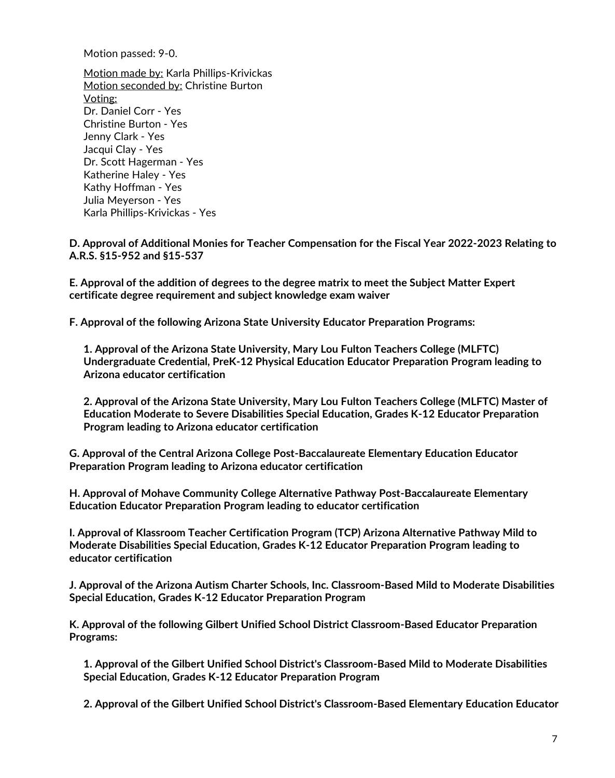Motion passed: 9-0.

Motion made by: Karla Phillips-Krivickas Motion seconded by: Christine Burton Voting: Dr. Daniel Corr - Yes Christine Burton - Yes Jenny Clark - Yes Jacqui Clay - Yes Dr. Scott Hagerman - Yes Katherine Haley -Yes Kathy Hoffman - Yes Julia Meyerson - Yes Karla Phillips-Krivickas - Yes

**D. Approval of Additional Monies for Teacher Compensation for the Fiscal Year 2022-2023 Relating to A.R.S. §15-952 and §15-537**

**E. Approval of the addition of degrees to the degree matrix to meet the Subject Matter Expert certificate degree requirement and subject knowledge exam waiver**

**F. Approval of the following Arizona State University Educator Preparation Programs:**

**1. Approval of the Arizona State University, Mary Lou Fulton Teachers College (MLFTC) Undergraduate Credential, PreK-12 Physical Education Educator Preparation Program leading to Arizona educator certification**

**2. Approval of the Arizona State University, Mary Lou Fulton Teachers College (MLFTC) Master of Education Moderate to Severe Disabilities Special Education, Grades K-12 Educator Preparation Program leading to Arizona educator certification**

**G. Approval of the Central Arizona College Post-Baccalaureate Elementary Education Educator Preparation Program leading to Arizona educator certification**

**H. Approval of Mohave Community College Alternative Pathway Post-Baccalaureate Elementary Education Educator Preparation Program leading to educator certification**

**I. Approval of Klassroom Teacher Certification Program (TCP) Arizona Alternative Pathway Mild to Moderate Disabilities Special Education, Grades K-12 Educator Preparation Program leading to educator certification**

**J. Approval of the Arizona Autism Charter Schools, Inc. Classroom-Based Mild to Moderate Disabilities Special Education, Grades K-12 Educator Preparation Program**

**K. Approval of the following Gilbert Unified School District Classroom-Based Educator Preparation Programs:**

**1. Approval of the Gilbert Unified School District's Classroom-Based Mild to Moderate Disabilities Special Education, Grades K-12 Educator Preparation Program**

**2. Approval of the Gilbert Unified School District's Classroom-Based Elementary Education Educator**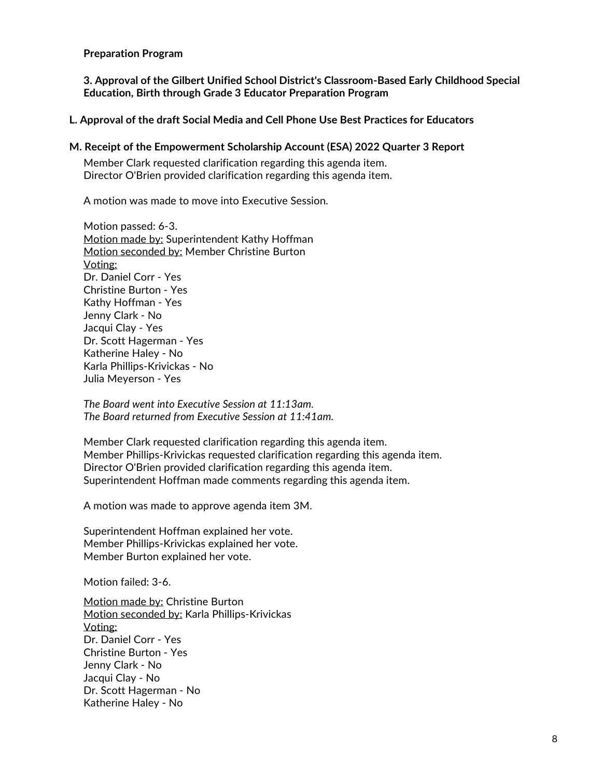#### **Preparation Program**

**3. Approval of the Gilbert Unified School District's Classroom-Based Early Childhood Special Education, Birth through Grade 3 Educator Preparation Program**

**L. Approval of the draft Social Media and Cell Phone Use Best Practices for Educators**

#### **M. Receipt of the Empowerment Scholarship Account (ESA) 2022 Quarter 3 Report**

Member Clark requested clarification regarding this agenda item. Director O'Brien provided clarification regarding this agenda item.

A motion was made to move into Executive Session.

Motion passed: 6-3. Motion made by: Superintendent Kathy Hoffman Motion seconded by: Member Christine Burton Voting: Dr. Daniel Corr - Yes Christine Burton - Yes Kathy Hoffman - Yes Jenny Clark - No Jacqui Clay - Yes Dr. Scott Hagerman - Yes Katherine Haley - No Karla Phillips-Krivickas - No Julia Meyerson - Yes

*The Board went into Executive Session at 11:13am. The Board returned from Executive Session at 11:41am.*

Member Clark requested clarification regarding this agenda item. Member Phillips-Krivickas requested clarification regarding this agenda item. Director O'Brien provided clarification regarding this agenda item. Superintendent Hoffman made comments regarding this agenda item.

A motion was made to approve agenda item 3M.

Superintendent Hoffman explained her vote. Member Phillips-Krivickas explained her vote. Member Burton explained her vote.

Motion failed: 3-6.

Motion made by: Christine Burton Motion seconded by: Karla Phillips-Krivickas Voting: Dr. Daniel Corr - Yes Christine Burton - Yes Jenny Clark - No Jacqui Clay - No Dr. Scott Hagerman - No Katherine Haley - No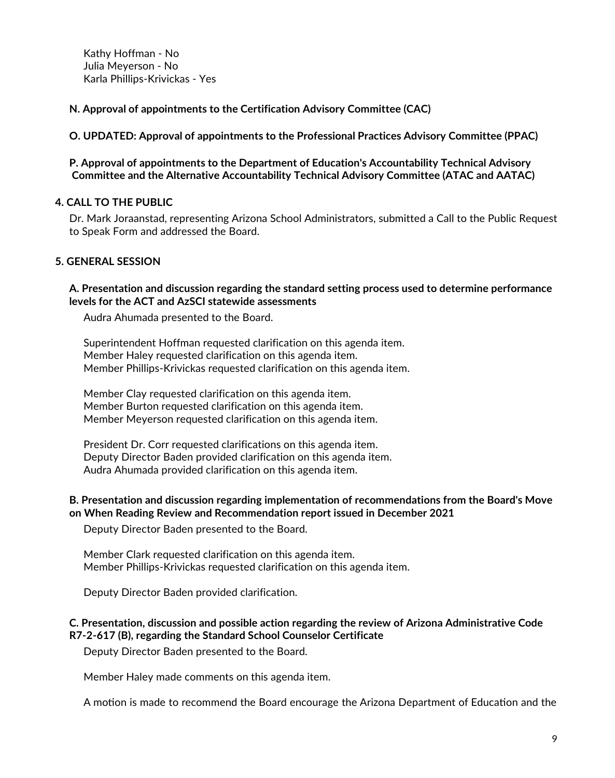Kathy Hoffman - No Julia Meyerson - No Karla Phillips-Krivickas - Yes

**N. Approval of appointments to the Certification Advisory Committee (CAC)**

**O. UPDATED: Approval of appointments to the Professional Practices Advisory Committee (PPAC)**

**P. Approval of appointments to the Department of Education's Accountability Technical Advisory Committee and the Alternative Accountability Technical Advisory Committee (ATAC and AATAC)**

## **4. CALL TO THE PUBLIC**

Dr. Mark Joraanstad, representing Arizona School Administrators, submitted a Call to the Public Request to Speak Form and addressed the Board.

# **5. GENERAL SESSION**

### **A. Presentation and discussion regarding the standard setting process used to determine performance levels for the ACT and AzSCI statewide assessments**

Audra Ahumada presented to the Board.

Superintendent Hoffman requested clarification on this agenda item. Member Haley requested clarification on this agenda item. Member Phillips-Krivickas requested clarification on this agenda item.

Member Clay requested clarification on this agenda item. Member Burton requested clarification on this agenda item. Member Meyerson requested clarification on this agenda item.

President Dr. Corr requested clarifications on this agenda item. Deputy Director Baden provided clarification on this agenda item. Audra Ahumada provided clarification on this agenda item.

## **B. Presentation and discussion regarding implementation of recommendations from the Board's Move on When Reading Review and Recommendation report issued in December 2021**

Deputy Director Baden presented to the Board.

Member Clark requested clarification on this agenda item. Member Phillips-Krivickas requested clarification on this agenda item.

Deputy Director Baden provided clarification.

## **C. Presentation, discussion and possible action regarding the review of Arizona Administrative Code R7-2-617 (B), regarding the Standard School Counselor Certificate**

Deputy Director Baden presented to the Board.

Member Haley made comments on this agenda item.

A motion is made to recommend the Board encourage the Arizona Department of Education and the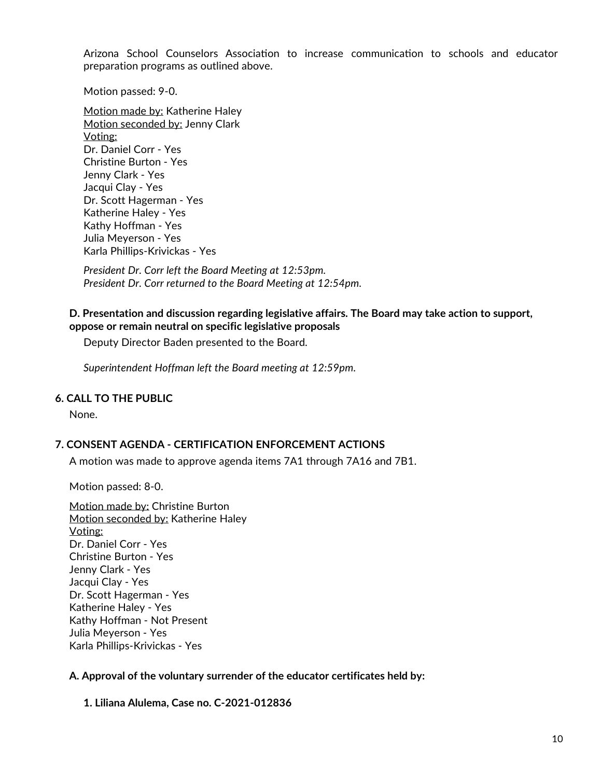Arizona School Counselors Association to increase communication to schools and educator preparation programs as outlined above.

Motion passed: 9-0.

Motion made by: Katherine Haley Motion seconded by: Jenny Clark Voting: Dr. Daniel Corr - Yes Christine Burton - Yes Jenny Clark - Yes Jacqui Clay - Yes Dr. Scott Hagerman - Yes Katherine Haley - Yes Kathy Hoffman - Yes Julia Meyerson - Yes Karla Phillips-Krivickas - Yes

*President Dr. Corr left the Board Meeting at 12:53pm. President Dr. Corr returned to the Board Meeting at 12:54pm.*

### **D. Presentation and discussion regarding legislative affairs. The Board may take action to support, oppose or remain neutral on specific legislative proposals**

Deputy Director Baden presented to the Board.

*Superintendent Hoffman left the Board meeting at 12:59pm.*

### **6. CALL TO THE PUBLIC**

None.

## **7. CONSENT AGENDA - CERTIFICATION ENFORCEMENT ACTIONS**

A motion was made to approve agenda items 7A1 through 7A16 and 7B1.

Motion passed: 8-0.

Motion made by: Christine Burton Motion seconded by: Katherine Haley Voting: Dr. Daniel Corr - Yes Christine Burton - Yes Jenny Clark - Yes Jacqui Clay - Yes Dr. Scott Hagerman - Yes Katherine Haley - Yes Kathy Hoffman - Not Present Julia Meyerson - Yes Karla Phillips-Krivickas - Yes

### **A. Approval of the voluntary surrender of the educator certificates held by:**

**1. Liliana Alulema, Case no. C-2021-012836**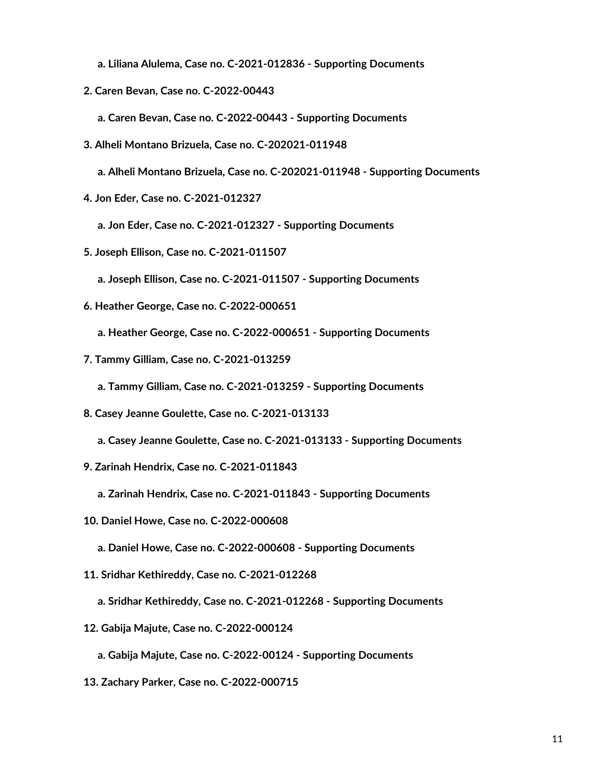- **a. Liliana Alulema, Case no. C-2021-012836 - Supporting Documents**
- **2. Caren Bevan, Case no. C-2022-00443**
	- **a. Caren Bevan, Case no. C-2022-00443 - Supporting Documents**
- **3. Alheli Montano Brizuela, Case no. C-202021-011948**
	- **a. Alheli Montano Brizuela, Case no. C-202021-011948 - Supporting Documents**
- **4. Jon Eder, Case no. C-2021-012327**
	- **a. Jon Eder, Case no. C-2021-012327 - Supporting Documents**
- **5. Joseph Ellison, Case no. C-2021-011507**
	- **a. Joseph Ellison, Case no. C-2021-011507 - Supporting Documents**
- **6. Heather George, Case no. C-2022-000651**
	- **a. Heather George, Case no. C-2022-000651 - Supporting Documents**
- **7. Tammy Gilliam, Case no. C-2021-013259**
	- **a. Tammy Gilliam, Case no. C-2021-013259 - Supporting Documents**
- **8. Casey Jeanne Goulette, Case no. C-2021-013133**
	- **a. Casey Jeanne Goulette, Case no. C-2021-013133 - Supporting Documents**
- **9. Zarinah Hendrix, Case no. C-2021-011843**
	- **a. Zarinah Hendrix, Case no. C-2021-011843 - Supporting Documents**
- **10. Daniel Howe, Case no. C-2022-000608**
	- **a. Daniel Howe, Case no. C-2022-000608 - Supporting Documents**
- **11. Sridhar Kethireddy, Case no. C-2021-012268**
	- **a. Sridhar Kethireddy, Case no. C-2021-012268 - Supporting Documents**
- **12. Gabija Majute, Case no. C-2022-000124**
	- **a. Gabija Majute, Case no. C-2022-00124 - Supporting Documents**
- **13. Zachary Parker, Case no. C-2022-000715**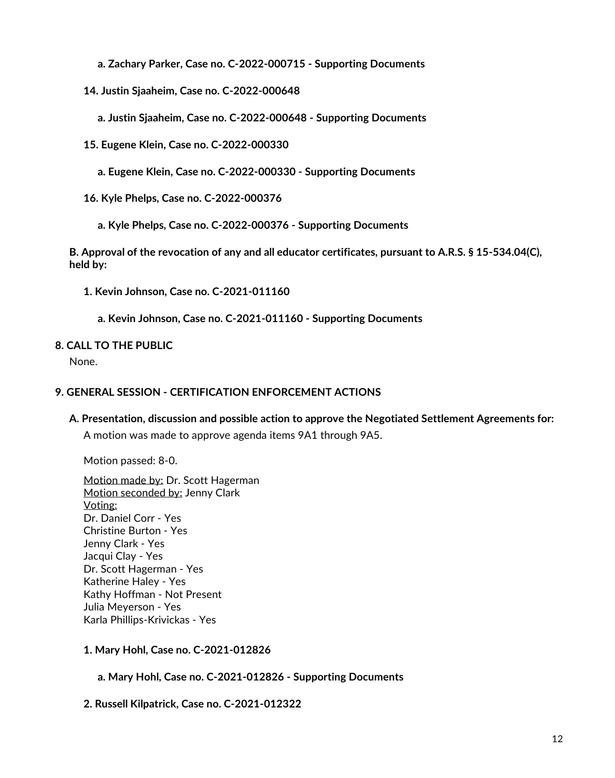**a. Zachary Parker, Case no. C-2022-000715 - Supporting Documents**

**14. Justin Sjaaheim, Case no. C-2022-000648**

**a. Justin Sjaaheim, Case no. C-2022-000648 - Supporting Documents**

**15. Eugene Klein, Case no. C-2022-000330**

**a. Eugene Klein, Case no. C-2022-000330 - Supporting Documents**

**16. Kyle Phelps, Case no. C-2022-000376**

**a. Kyle Phelps, Case no. C-2022-000376 - Supporting Documents**

**B. Approval of the revocation of any and all educator certificates, pursuant to A.R.S. § 15-534.04(C), held by:**

**1. Kevin Johnson, Case no. C-2021-011160**

**a. Kevin Johnson, Case no. C-2021-011160 - Supporting Documents**

# **8. CALL TO THE PUBLIC**

None.

# **9. GENERAL SESSION - CERTIFICATION ENFORCEMENT ACTIONS**

# **A. Presentation, discussion and possible action to approve the Negotiated Settlement Agreements for:**

A motion was made to approve agenda items 9A1 through 9A5.

Motion passed: 8-0.

Motion made by: Dr. Scott Hagerman Motion seconded by: Jenny Clark Voting: Dr. Daniel Corr - Yes Christine Burton - Yes Jenny Clark - Yes Jacqui Clay - Yes Dr. Scott Hagerman - Yes Katherine Haley - Yes Kathy Hoffman - Not Present Julia Meyerson - Yes Karla Phillips-Krivickas - Yes

**1. Mary Hohl, Case no. C-2021-012826**

**a. Mary Hohl, Case no. C-2021-012826 - Supporting Documents**

**2. Russell Kilpatrick, Case no. C-2021-012322**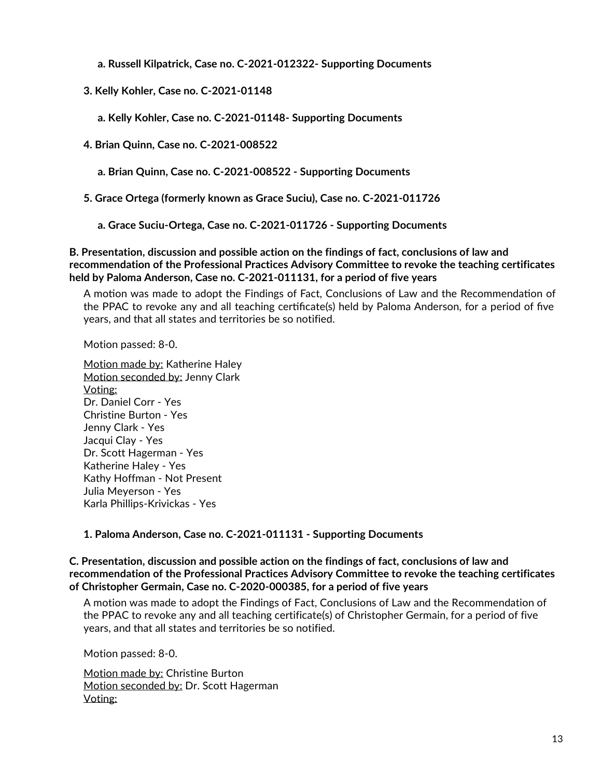**a. Russell Kilpatrick, Case no. C-2021-012322- Supporting Documents**

**3. Kelly Kohler, Case no. C-2021-01148**

**a. Kelly Kohler, Case no. C-2021-01148- Supporting Documents**

**4. Brian Quinn, Case no. C-2021-008522**

**a. Brian Quinn, Case no. C-2021-008522 - Supporting Documents**

**5. Grace Ortega (formerly known as Grace Suciu), Case no. C-2021-011726**

**a. Grace Suciu-Ortega, Case no. C-2021-011726 - Supporting Documents**

**B. Presentation, discussion and possible action on the findings of fact, conclusions of law and recommendation of the Professional Practices Advisory Committee to revoke the teaching certificates held by Paloma Anderson, Case no. C-2021-011131, for a period of five years**

A motion was made to adopt the Findings of Fact, Conclusions of Law and the Recommendation of the PPAC to revoke any and all teaching cerficate(s) held by Paloma Anderson, for a period of five years, and that all states and territories be so notified.

Motion passed: 8-0.

Motion made by: Katherine Haley Motion seconded by: Jenny Clark Voting: Dr. Daniel Corr - Yes Christine Burton - Yes Jenny Clark - Yes Jacqui Clay - Yes Dr. Scott Hagerman - Yes Katherine Haley -Yes Kathy Hoffman - Not Present Julia Meyerson - Yes Karla Phillips-Krivickas - Yes

# **1. Paloma Anderson, Case no. C-2021-011131 - Supporting Documents**

**C. Presentation, discussion and possible action on the findings of fact, conclusions of law and recommendation of the Professional Practices Advisory Committee to revoke the teaching certificates of Christopher Germain, Case no. C-2020-000385, for a period of five years**

A motion was made to adopt the Findings of Fact, Conclusions of Law and the Recommendation of the PPAC to revoke any and all teaching certificate(s) of Christopher Germain, for a period of five years, and that all states and territories be so notified.

Motion passed: 8-0.

Motion made by: Christine Burton Motion seconded by: Dr. Scott Hagerman Voting: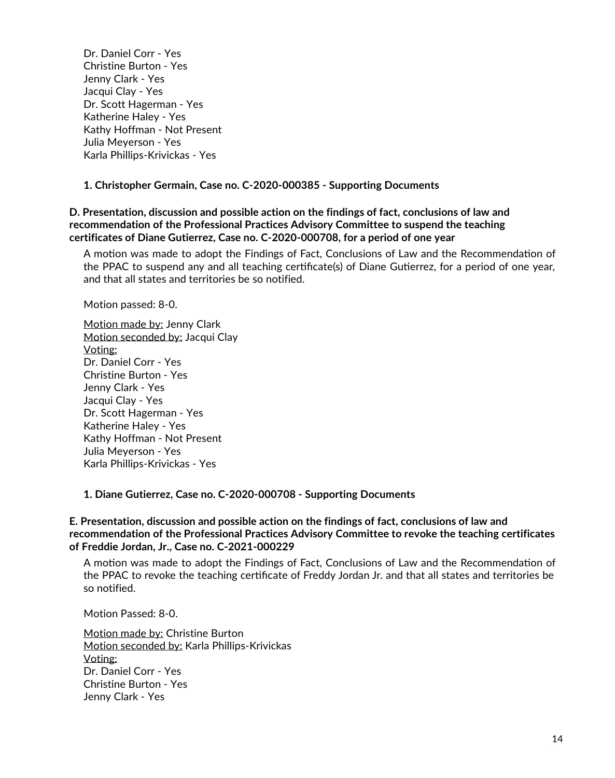Dr. Daniel Corr - Yes Christine Burton - Yes Jenny Clark - Yes Jacqui Clay - Yes Dr. Scott Hagerman - Yes Katherine Haley -Yes Kathy Hoffman - Not Present Julia Meyerson - Yes Karla Phillips-Krivickas - Yes

### **1. Christopher Germain, Case no. C-2020-000385 - Supporting Documents**

**D. Presentation, discussion and possible action on the findings of fact, conclusions of law and recommendation of the Professional Practices Advisory Committee to suspend the teaching certificates of Diane Gutierrez, Case no. C-2020-000708, for a period of one year**

A motion was made to adopt the Findings of Fact, Conclusions of Law and the Recommendation of the PPAC to suspend any and all teaching certificate(s) of Diane Gutierrez, for a period of one year, and that all states and territories be so notified.

Motion passed: 8-0.

Motion made by: Jenny Clark Motion seconded by: Jacqui Clay Voting: Dr. Daniel Corr - Yes Christine Burton - Yes Jenny Clark - Yes Jacqui Clay - Yes Dr. Scott Hagerman - Yes Katherine Haley -Yes Kathy Hoffman - Not Present Julia Meyerson - Yes Karla Phillips-Krivickas - Yes

**1. Diane Gutierrez, Case no. C-2020-000708 - Supporting Documents**

### **E. Presentation, discussion and possible action on the findings of fact, conclusions of law and recommendation of the Professional Practices Advisory Committee to revoke the teaching certificates of Freddie Jordan, Jr., Case no. C-2021-000229**

A motion was made to adopt the Findings of Fact, Conclusions of Law and the Recommendation of the PPAC to revoke the teaching cerficate of Freddy Jordan Jr. and that all states and territories be so notified.

Motion Passed: 8-0.

Motion made by: Christine Burton Motion seconded by: Karla Phillips-Krivickas Voting: Dr. Daniel Corr - Yes Christine Burton - Yes Jenny Clark - Yes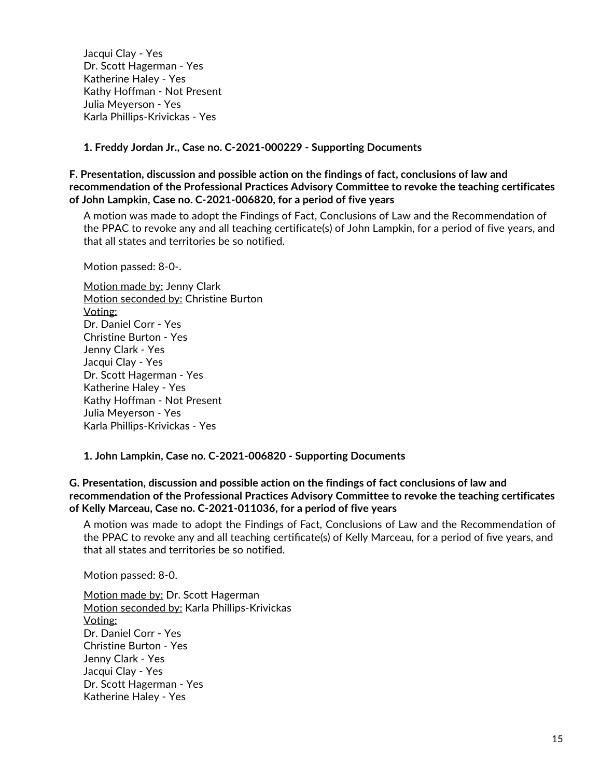Jacqui Clay - Yes Dr. Scott Hagerman - Yes Katherine Haley - Yes Kathy Hoffman - Not Present Julia Meyerson - Yes Karla Phillips-Krivickas - Yes

**1. Freddy Jordan Jr., Case no. C-2021-000229 - Supporting Documents**

**F. Presentation, discussion and possible action on the findings of fact, conclusions of law and recommendation of the Professional Practices Advisory Committee to revoke the teaching certificates of John Lampkin, Case no. C-2021-006820, for a period of five years**

A motion was made to adopt the Findings of Fact, Conclusions of Law and the Recommendation of the PPAC to revoke any and all teaching certificate(s) of John Lampkin, for a period of five years, and that all states and territories be so notified.

Motion passed: 8-0-.

Motion made by: Jenny Clark Motion seconded by: Christine Burton Voting: Dr. Daniel Corr - Yes Christine Burton - Yes Jenny Clark - Yes Jacqui Clay - Yes Dr. Scott Hagerman - Yes Katherine Haley -Yes Kathy Hoffman - Not Present Julia Meyerson - Yes Karla Phillips-Krivickas - Yes

**1. John Lampkin, Case no. C-2021-006820 - Supporting Documents**

**G. Presentation, discussion and possible action on the findings of fact conclusions of law and recommendation of the Professional Practices Advisory Committee to revoke the teaching certificates of Kelly Marceau, Case no. C-2021-011036, for a period of five years**

A motion was made to adopt the Findings of Fact, Conclusions of Law and the Recommendation of the PPAC to revoke any and all teaching certificate(s) of Kelly Marceau, for a period of five years, and that all states and territories be so notified.

Motion passed: 8-0.

Motion made by: Dr. Scott Hagerman Motion seconded by: Karla Phillips-Krivickas Voting: Dr. Daniel Corr - Yes Christine Burton - Yes Jenny Clark - Yes Jacqui Clay - Yes Dr. Scott Hagerman - Yes Katherine Haley - Yes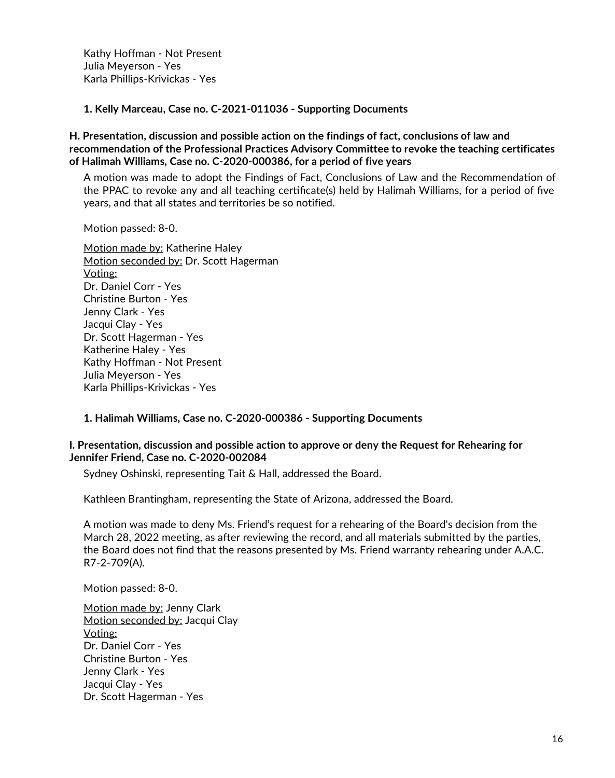Kathy Hoffman - Not Present Julia Meyerson - Yes Karla Phillips-Krivickas - Yes

**1. Kelly Marceau, Case no. C-2021-011036 - Supporting Documents**

### **H. Presentation, discussion and possible action on the findings of fact, conclusions of law and recommendation of the Professional Practices Advisory Committee to revoke the teaching certificates of Halimah Williams, Case no. C-2020-000386, for a period of five years**

A motion was made to adopt the Findings of Fact, Conclusions of Law and the Recommendation of the PPAC to revoke any and all teaching certificate(s) held by Halimah Williams, for a period of five years, and that all states and territories be so notified.

Motion passed: 8-0.

Motion made by: Katherine Haley Motion seconded by: Dr. Scott Hagerman Voting: Dr. Daniel Corr - Yes Christine Burton - Yes Jenny Clark - Yes Jacqui Clay - Yes Dr. Scott Hagerman - Yes Katherine Haley -Yes Kathy Hoffman - Not Present Julia Meyerson - Yes Karla Phillips-Krivickas - Yes

## **1. Halimah Williams, Case no. C-2020-000386 - Supporting Documents**

### **I. Presentation, discussion and possible action to approve or deny the Request for Rehearing for Jennifer Friend, Case no. C-2020-002084**

Sydney Oshinski, representing Tait & Hall, addressed the Board.

Kathleen Brantingham, representing the State of Arizona, addressed the Board.

A motion was made to deny Ms. Friend's request for a rehearing of the Board's decision from the March 28, 2022 meeting, as after reviewing the record, and all materials submitted by the parties, the Board does not find that the reasons presented by Ms. Friend warranty rehearing under A.A.C. R7-2-709(A).

Motion passed: 8-0.

Motion made by: Jenny Clark Motion seconded by: Jacqui Clay Voting: Dr. Daniel Corr - Yes Christine Burton - Yes Jenny Clark - Yes Jacqui Clay - Yes Dr. Scott Hagerman - Yes